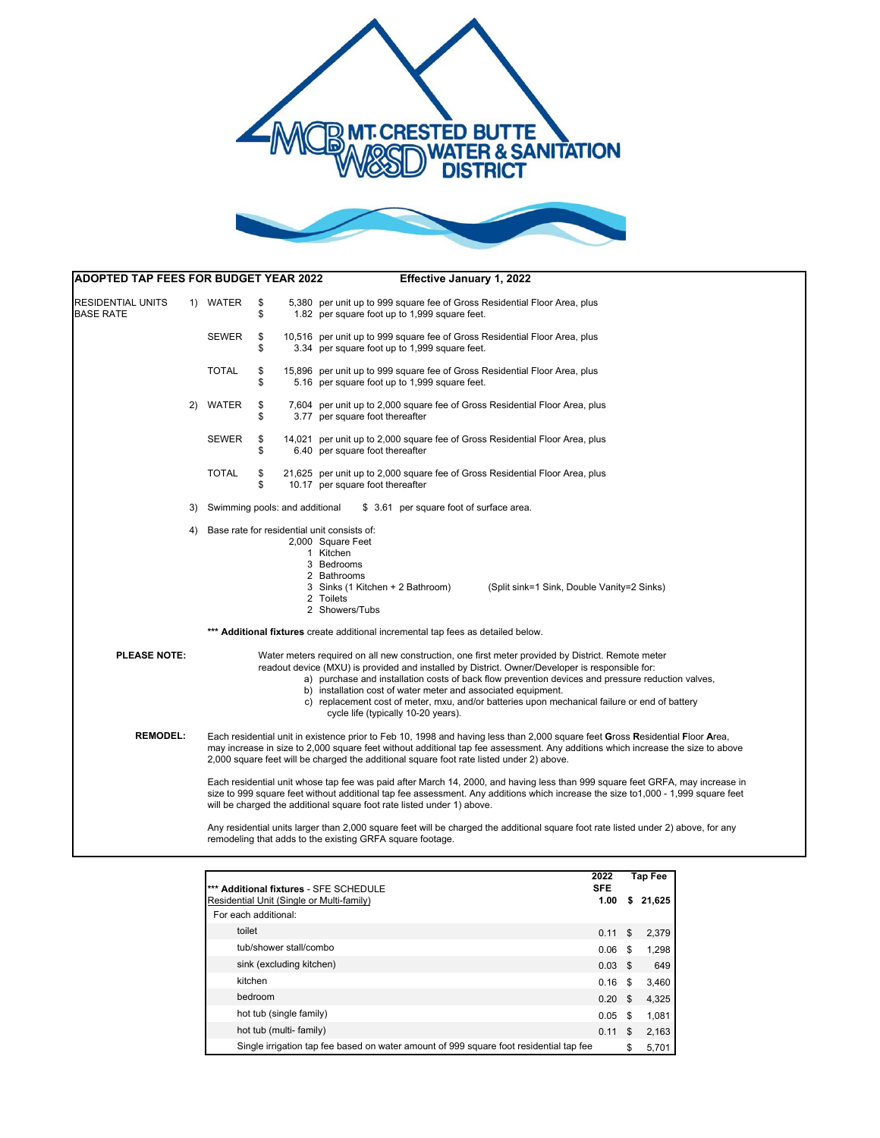



| ADOPTED TAP FEES FOR BUDGET YEAR 2022<br>Effective January 1, 2022 |    |                                                                                                                                                                                                                                                                                                                                                                                                                                                                                                                                                                                                                                                                                                              |          |  |                                                                                                                                                                                                                                                                                                                                                                                                                                                                                                                    |  |  |  |  |  |  |
|--------------------------------------------------------------------|----|--------------------------------------------------------------------------------------------------------------------------------------------------------------------------------------------------------------------------------------------------------------------------------------------------------------------------------------------------------------------------------------------------------------------------------------------------------------------------------------------------------------------------------------------------------------------------------------------------------------------------------------------------------------------------------------------------------------|----------|--|--------------------------------------------------------------------------------------------------------------------------------------------------------------------------------------------------------------------------------------------------------------------------------------------------------------------------------------------------------------------------------------------------------------------------------------------------------------------------------------------------------------------|--|--|--|--|--|--|
| RESIDENTIAL UNITS<br><b>BASE RATE</b>                              |    | 1) WATER                                                                                                                                                                                                                                                                                                                                                                                                                                                                                                                                                                                                                                                                                                     | \$<br>\$ |  | 5,380 per unit up to 999 square fee of Gross Residential Floor Area, plus<br>1.82 per square foot up to 1,999 square feet.                                                                                                                                                                                                                                                                                                                                                                                         |  |  |  |  |  |  |
|                                                                    |    | <b>SEWER</b>                                                                                                                                                                                                                                                                                                                                                                                                                                                                                                                                                                                                                                                                                                 | \$<br>\$ |  | 10,516 per unit up to 999 square fee of Gross Residential Floor Area, plus<br>3.34 per square foot up to 1,999 square feet.                                                                                                                                                                                                                                                                                                                                                                                        |  |  |  |  |  |  |
|                                                                    |    | <b>TOTAL</b>                                                                                                                                                                                                                                                                                                                                                                                                                                                                                                                                                                                                                                                                                                 | \$<br>\$ |  | 15,896 per unit up to 999 square fee of Gross Residential Floor Area, plus<br>5.16 per square foot up to 1,999 square feet.                                                                                                                                                                                                                                                                                                                                                                                        |  |  |  |  |  |  |
|                                                                    | 2) | WATER                                                                                                                                                                                                                                                                                                                                                                                                                                                                                                                                                                                                                                                                                                        | \$<br>\$ |  | 7,604 per unit up to 2,000 square fee of Gross Residential Floor Area, plus<br>3.77 per square foot thereafter                                                                                                                                                                                                                                                                                                                                                                                                     |  |  |  |  |  |  |
|                                                                    |    | <b>SEWER</b>                                                                                                                                                                                                                                                                                                                                                                                                                                                                                                                                                                                                                                                                                                 | \$<br>\$ |  | 14,021 per unit up to 2,000 square fee of Gross Residential Floor Area, plus<br>6.40 per square foot thereafter                                                                                                                                                                                                                                                                                                                                                                                                    |  |  |  |  |  |  |
|                                                                    |    | <b>TOTAL</b>                                                                                                                                                                                                                                                                                                                                                                                                                                                                                                                                                                                                                                                                                                 | \$<br>\$ |  | 21,625 per unit up to 2,000 square fee of Gross Residential Floor Area, plus<br>10.17 per square foot thereafter                                                                                                                                                                                                                                                                                                                                                                                                   |  |  |  |  |  |  |
|                                                                    | 3) | Swimming pools: and additional<br>\$ 3.61 per square foot of surface area.                                                                                                                                                                                                                                                                                                                                                                                                                                                                                                                                                                                                                                   |          |  |                                                                                                                                                                                                                                                                                                                                                                                                                                                                                                                    |  |  |  |  |  |  |
|                                                                    | 4) |                                                                                                                                                                                                                                                                                                                                                                                                                                                                                                                                                                                                                                                                                                              |          |  | Base rate for residential unit consists of:<br>2,000 Square Feet<br>1 Kitchen<br>3 Bedrooms<br>2 Bathrooms<br>3 Sinks (1 Kitchen + 2 Bathroom)<br>(Split sink=1 Sink, Double Vanity=2 Sinks)<br>2 Toilets<br>2 Showers/Tubs                                                                                                                                                                                                                                                                                        |  |  |  |  |  |  |
|                                                                    |    |                                                                                                                                                                                                                                                                                                                                                                                                                                                                                                                                                                                                                                                                                                              |          |  | *** Additional fixtures create additional incremental tap fees as detailed below.                                                                                                                                                                                                                                                                                                                                                                                                                                  |  |  |  |  |  |  |
| <b>PLEASE NOTE:</b>                                                |    |                                                                                                                                                                                                                                                                                                                                                                                                                                                                                                                                                                                                                                                                                                              |          |  | Water meters required on all new construction, one first meter provided by District. Remote meter<br>readout device (MXU) is provided and installed by District. Owner/Developer is responsible for:<br>a) purchase and installation costs of back flow prevention devices and pressure reduction valves,<br>b) installation cost of water meter and associated equipment.<br>c) replacement cost of meter, mxu, and/or batteries upon mechanical failure or end of battery<br>cycle life (typically 10-20 years). |  |  |  |  |  |  |
| <b>REMODEL:</b>                                                    |    | Each residential unit in existence prior to Feb 10, 1998 and having less than 2,000 square feet Gross Residential Floor Area,<br>may increase in size to 2,000 square feet without additional tap fee assessment. Any additions which increase the size to above<br>2,000 square feet will be charged the additional square foot rate listed under 2) above.<br>Each residential unit whose tap fee was paid after March 14, 2000, and having less than 999 square feet GRFA, may increase in<br>size to 999 square feet without additional tap fee assessment. Any additions which increase the size to 1,000 - 1,999 square feet<br>will be charged the additional square foot rate listed under 1) above. |          |  |                                                                                                                                                                                                                                                                                                                                                                                                                                                                                                                    |  |  |  |  |  |  |
|                                                                    |    |                                                                                                                                                                                                                                                                                                                                                                                                                                                                                                                                                                                                                                                                                                              |          |  |                                                                                                                                                                                                                                                                                                                                                                                                                                                                                                                    |  |  |  |  |  |  |
|                                                                    |    |                                                                                                                                                                                                                                                                                                                                                                                                                                                                                                                                                                                                                                                                                                              |          |  | Any residential units larger than 2,000 square feet will be charged the additional square foot rate listed under 2) above, for any<br>remodeling that adds to the existing GRFA square footage.                                                                                                                                                                                                                                                                                                                    |  |  |  |  |  |  |

| *** Additional fixtures - SFE SCHEDULE                                                 | 2022<br><b>SFE</b> | <b>Tap Fee</b> |        |
|----------------------------------------------------------------------------------------|--------------------|----------------|--------|
| Residential Unit (Single or Multi-family)                                              | 1.00               | \$             | 21,625 |
| For each additional:                                                                   |                    |                |        |
| toilet                                                                                 | 0.11               | \$             | 2,379  |
| tub/shower stall/combo                                                                 | 0.06               | -S             | 1,298  |
| sink (excluding kitchen)                                                               | $0.03$ \$          |                | 649    |
| kitchen                                                                                | 0.16               | -S             | 3,460  |
| bedroom                                                                                | 0.20 <sup>5</sup>  |                | 4,325  |
| hot tub (single family)                                                                | 0.05               | - \$           | 1,081  |
| hot tub (multi- family)                                                                | 0.11               | \$.            | 2,163  |
| Single irrigation tap fee based on water amount of 999 square foot residential tap fee |                    | \$             | 5,701  |